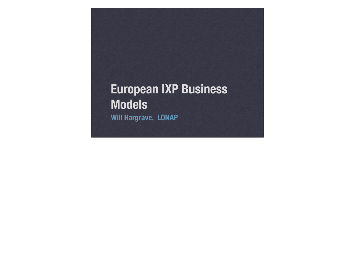## **European IXP Business Models Will Hargrave, LONAP**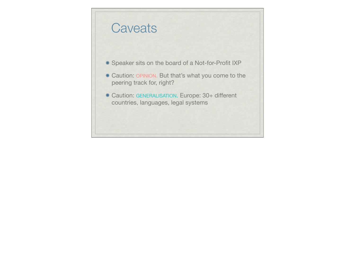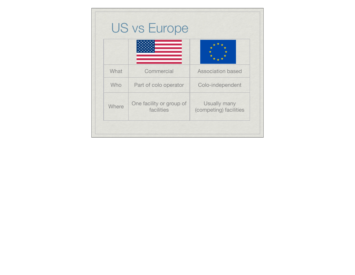| What  | Commercial                             | <b>Association based</b>               |
|-------|----------------------------------------|----------------------------------------|
| Who   | Part of colo operator                  | Colo-independent                       |
| Where | One facility or group of<br>facilities | Usually many<br>(competing) facilities |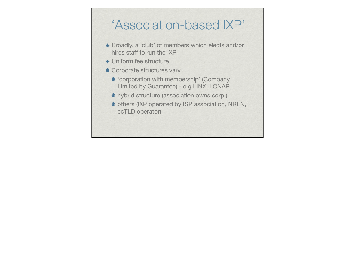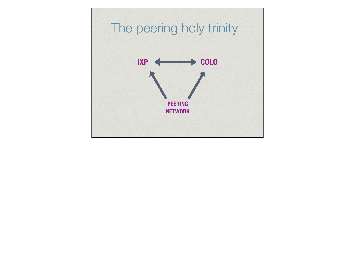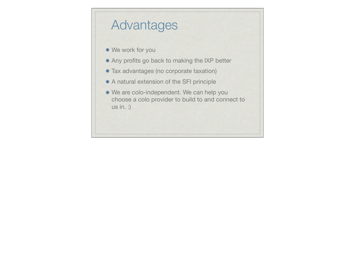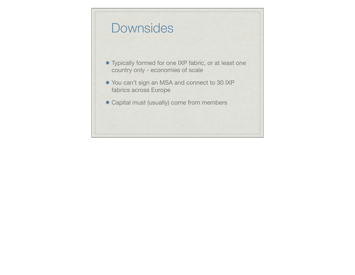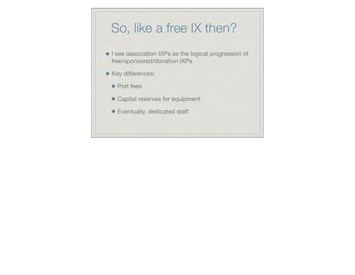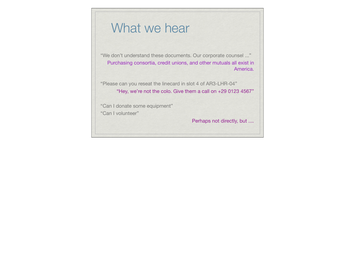## What we hear

"We don't understand these documents. Our corporate counsel ..." Purchasing consortia, credit unions, and other mutuals all exist in America.

"Please can you reseat the linecard in slot 4 of AR3-LHR-04" "Hey, we're not the colo. Give them a call on +29 0123 4567"

"Can I donate some equipment" "Can I volunteer"

Perhaps not directly, but ....